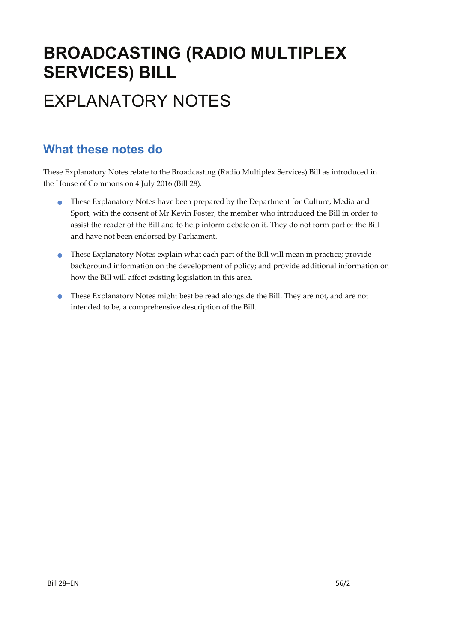# **BROADCASTING (RADIO MULTIPLEX SERVICES) BILL**  EXPLANATORY NOTES

### **What these notes do**

These Explanatory Notes relate to the Broadcasting (Radio Multiplex Services) Bill as introduced in the House of Commons on 4 July 2016 (Bill 28).

- These Explanatory Notes have been prepared by the Department for Culture, Media and Sport, with the consent of Mr Kevin Foster, the member who introduced the Bill in order to assist the reader of the Bill and to help inform debate on it. They do not form part of the Bill and have not been endorsed by Parliament.
- These Explanatory Notes explain what each part of the Bill will mean in practice; provide background information on the development of policy; and provide additional information on how the Bill will affect existing legislation in this area.
- These Explanatory Notes might best be read alongside the Bill. They are not, and are not intended to be, a comprehensive description of the Bill.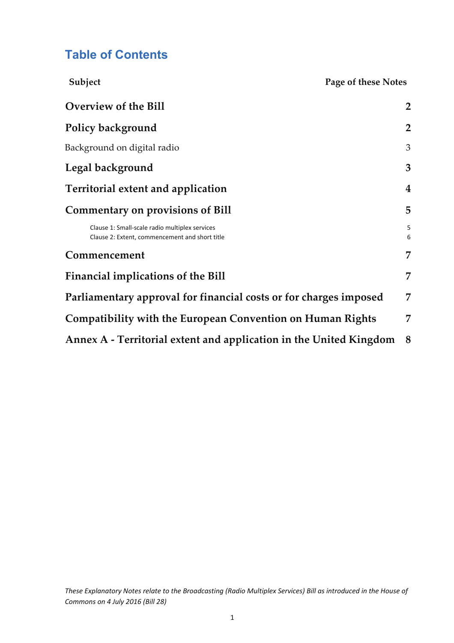## **Table of Contents**

| Subject                                                                                          | Page of these Notes |                |
|--------------------------------------------------------------------------------------------------|---------------------|----------------|
| Overview of the Bill                                                                             |                     | $\overline{2}$ |
| Policy background                                                                                |                     | $\overline{2}$ |
| Background on digital radio                                                                      |                     | 3              |
| Legal background                                                                                 |                     | 3              |
| Territorial extent and application                                                               |                     | 4              |
| <b>Commentary on provisions of Bill</b>                                                          |                     | 5              |
| Clause 1: Small-scale radio multiplex services<br>Clause 2: Extent, commencement and short title |                     | 5<br>6         |
| Commencement                                                                                     |                     | 7              |
| <b>Financial implications of the Bill</b>                                                        |                     | 7              |
| Parliamentary approval for financial costs or for charges imposed                                |                     | $\overline{7}$ |
| Compatibility with the European Convention on Human Rights                                       |                     | 7              |
| Annex A - Territorial extent and application in the United Kingdom                               |                     | 8              |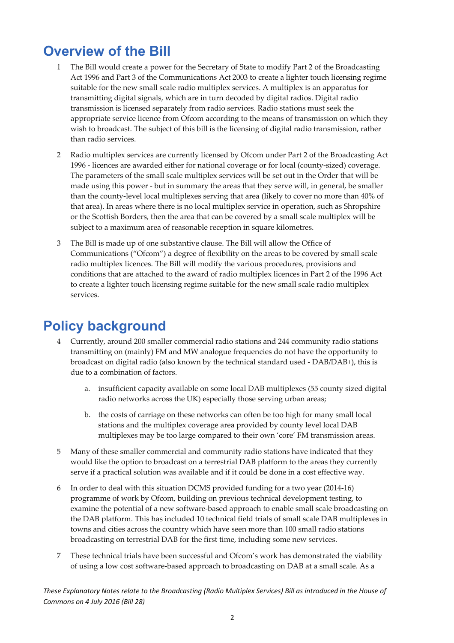# **Overview of the Bill**

- 1 The Bill would create a power for the Secretary of State to modify Part 2 of the Broadcasting Act 1996 and Part 3 of the Communications Act 2003 to create a lighter touch licensing regime suitable for the new small scale radio multiplex services. A multiplex is an apparatus for transmitting digital signals, which are in turn decoded by digital radios. Digital radio transmission is licensed separately from radio services. Radio stations must seek the appropriate service licence from Ofcom according to the means of transmission on which they wish to broadcast. The subject of this bill is the licensing of digital radio transmission, rather than radio services.
- 2 Radio multiplex services are currently licensed by Ofcom under Part 2 of the Broadcasting Act 1996 ‐ licences are awarded either for national coverage or for local (county‐sized) coverage. The parameters of the small scale multiplex services will be set out in the Order that will be made using this power ‐ but in summary the areas that they serve will, in general, be smaller than the county‐level local multiplexes serving that area (likely to cover no more than 40% of that area). In areas where there is no local multiplex service in operation, such as Shropshire or the Scottish Borders, then the area that can be covered by a small scale multiplex will be subject to a maximum area of reasonable reception in square kilometres.
- 3 The Bill is made up of one substantive clause. The Bill will allow the Office of Communications ("Ofcom") a degree of flexibility on the areas to be covered by small scale radio multiplex licences. The Bill will modify the various procedures, provisions and conditions that are attached to the award of radio multiplex licences in Part 2 of the 1996 Act to create a lighter touch licensing regime suitable for the new small scale radio multiplex services.

# **Policy background**

- 4 Currently, around 200 smaller commercial radio stations and 244 community radio stations transmitting on (mainly) FM and MW analogue frequencies do not have the opportunity to broadcast on digital radio (also known by the technical standard used ‐ DAB/DAB+), this is due to a combination of factors.
	- a. insufficient capacity available on some local DAB multiplexes (55 county sized digital radio networks across the UK) especially those serving urban areas;
	- b. the costs of carriage on these networks can often be too high for many small local stations and the multiplex coverage area provided by county level local DAB multiplexes may be too large compared to their own 'core' FM transmission areas.
- 5 Many of these smaller commercial and community radio stations have indicated that they would like the option to broadcast on a terrestrial DAB platform to the areas they currently serve if a practical solution was available and if it could be done in a cost effective way.
- 6 In order to deal with this situation DCMS provided funding for a two year (2014‐16) programme of work by Ofcom, building on previous technical development testing, to examine the potential of a new software‐based approach to enable small scale broadcasting on the DAB platform. This has included 10 technical field trials of small scale DAB multiplexes in towns and cities across the country which have seen more than 100 small radio stations broadcasting on terrestrial DAB for the first time, including some new services.
- 7 These technical trials have been successful and Ofcom's work has demonstrated the viability of using a low cost software‐based approach to broadcasting on DAB at a small scale. As a

These Explanatory Notes relate to the Broadcasting (Radio Multiplex Services) Bill as introduced in the House of *Commons on 4 July 2016 (Bill 28)*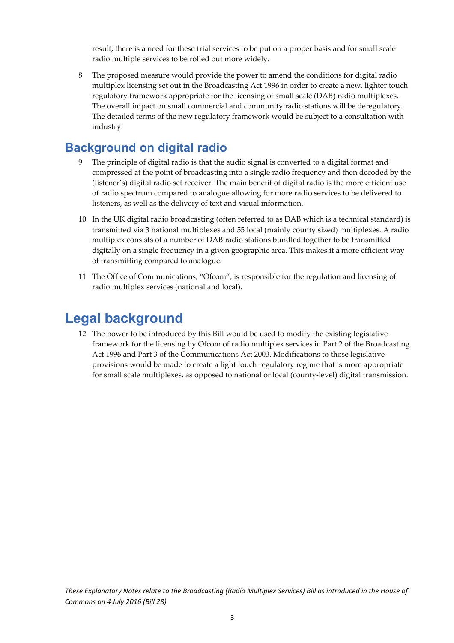result, there is a need for these trial services to be put on a proper basis and for small scale radio multiple services to be rolled out more widely.

8 The proposed measure would provide the power to amend the conditions for digital radio multiplex licensing set out in the Broadcasting Act 1996 in order to create a new, lighter touch regulatory framework appropriate for the licensing of small scale (DAB) radio multiplexes. The overall impact on small commercial and community radio stations will be deregulatory. The detailed terms of the new regulatory framework would be subject to a consultation with industry.

### **Background on digital radio**

- The principle of digital radio is that the audio signal is converted to a digital format and compressed at the point of broadcasting into a single radio frequency and then decoded by the (listener's) digital radio set receiver. The main benefit of digital radio is the more efficient use of radio spectrum compared to analogue allowing for more radio services to be delivered to listeners, as well as the delivery of text and visual information.
- 10 In the UK digital radio broadcasting (often referred to as DAB which is a technical standard) is transmitted via 3 national multiplexes and 55 local (mainly county sized) multiplexes. A radio multiplex consists of a number of DAB radio stations bundled together to be transmitted digitally on a single frequency in a given geographic area. This makes it a more efficient way of transmitting compared to analogue.
- 11 The Office of Communications, "Ofcom", is responsible for the regulation and licensing of radio multiplex services (national and local).

### **Legal background**

12 The power to be introduced by this Bill would be used to modify the existing legislative framework for the licensing by Ofcom of radio multiplex services in Part 2 of the Broadcasting Act 1996 and Part 3 of the Communications Act 2003. Modifications to those legislative provisions would be made to create a light touch regulatory regime that is more appropriate for small scale multiplexes, as opposed to national or local (county-level) digital transmission.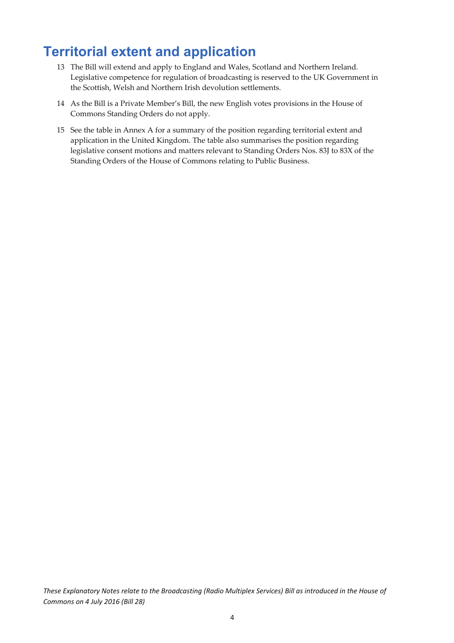# **Territorial extent and application**

- 13 The Bill will extend and apply to England and Wales, Scotland and Northern Ireland. Legislative competence for regulation of broadcasting is reserved to the UK Government in the Scottish, Welsh and Northern Irish devolution settlements.
- 14 As the Bill is a Private Member's Bill, the new English votes provisions in the House of Commons Standing Orders do not apply.
- 15 See the table in Annex A for a summary of the position regarding territorial extent and application in the United Kingdom. The table also summarises the position regarding legislative consent motions and matters relevant to Standing Orders Nos. 83J to 83X of the Standing Orders of the House of Commons relating to Public Business.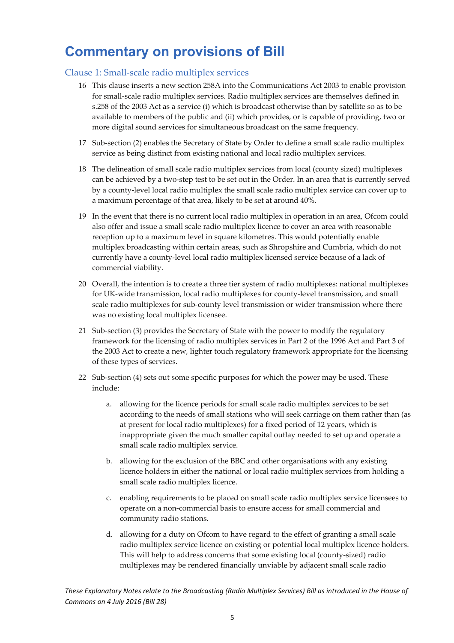# **Commentary on provisions of Bill**

#### Clause 1: Small‐scale radio multiplex services

- 16 This clause inserts a new section 258A into the Communications Act 2003 to enable provision for small‐scale radio multiplex services. Radio multiplex services are themselves defined in s.258 of the 2003 Act as a service (i) which is broadcast otherwise than by satellite so as to be available to members of the public and (ii) which provides, or is capable of providing, two or more digital sound services for simultaneous broadcast on the same frequency.
- 17 Sub‐section (2) enables the Secretary of State by Order to define a small scale radio multiplex service as being distinct from existing national and local radio multiplex services.
- 18 The delineation of small scale radio multiplex services from local (county sized) multiplexes can be achieved by a two‐step test to be set out in the Order. In an area that is currently served by a county‐level local radio multiplex the small scale radio multiplex service can cover up to a maximum percentage of that area, likely to be set at around 40%.
- 19 In the event that there is no current local radio multiplex in operation in an area, Ofcom could also offer and issue a small scale radio multiplex licence to cover an area with reasonable reception up to a maximum level in square kilometres. This would potentially enable multiplex broadcasting within certain areas, such as Shropshire and Cumbria, which do not currently have a county‐level local radio multiplex licensed service because of a lack of commercial viability.
- 20 Overall, the intention is to create a three tier system of radio multiplexes: national multiplexes for UK-wide transmission, local radio multiplexes for county-level transmission, and small scale radio multiplexes for sub‐county level transmission or wider transmission where there was no existing local multiplex licensee.
- 21 Sub‐section (3) provides the Secretary of State with the power to modify the regulatory framework for the licensing of radio multiplex services in Part 2 of the 1996 Act and Part 3 of the 2003 Act to create a new, lighter touch regulatory framework appropriate for the licensing of these types of services.
- 22 Sub-section (4) sets out some specific purposes for which the power may be used. These include:
	- a. allowing for the licence periods for small scale radio multiplex services to be set according to the needs of small stations who will seek carriage on them rather than (as at present for local radio multiplexes) for a fixed period of 12 years, which is inappropriate given the much smaller capital outlay needed to set up and operate a small scale radio multiplex service.
	- b. allowing for the exclusion of the BBC and other organisations with any existing licence holders in either the national or local radio multiplex services from holding a small scale radio multiplex licence.
	- c. enabling requirements to be placed on small scale radio multiplex service licensees to operate on a non‐commercial basis to ensure access for small commercial and community radio stations.
	- d. allowing for a duty on Ofcom to have regard to the effect of granting a small scale radio multiplex service licence on existing or potential local multiplex licence holders. This will help to address concerns that some existing local (county‐sized) radio multiplexes may be rendered financially unviable by adjacent small scale radio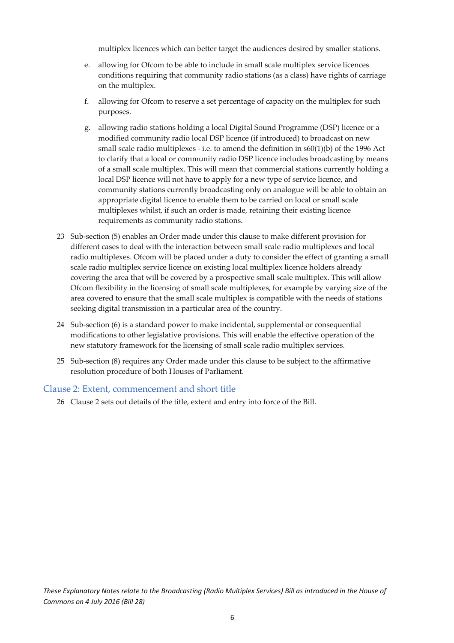multiplex licences which can better target the audiences desired by smaller stations.

- e. allowing for Ofcom to be able to include in small scale multiplex service licences conditions requiring that community radio stations (as a class) have rights of carriage on the multiplex.
- f. allowing for Ofcom to reserve a set percentage of capacity on the multiplex for such purposes.
- g. allowing radio stations holding a local Digital Sound Programme (DSP) licence or a modified community radio local DSP licence (if introduced) to broadcast on new small scale radio multiplexes - i.e. to amend the definition in  $s60(1)(b)$  of the 1996 Act to clarify that a local or community radio DSP licence includes broadcasting by means of a small scale multiplex. This will mean that commercial stations currently holding a local DSP licence will not have to apply for a new type of service licence, and community stations currently broadcasting only on analogue will be able to obtain an appropriate digital licence to enable them to be carried on local or small scale multiplexes whilst, if such an order is made, retaining their existing licence requirements as community radio stations.
- 23 Sub-section (5) enables an Order made under this clause to make different provision for different cases to deal with the interaction between small scale radio multiplexes and local radio multiplexes. Ofcom will be placed under a duty to consider the effect of granting a small scale radio multiplex service licence on existing local multiplex licence holders already covering the area that will be covered by a prospective small scale multiplex. This will allow Ofcom flexibility in the licensing of small scale multiplexes, for example by varying size of the area covered to ensure that the small scale multiplex is compatible with the needs of stations seeking digital transmission in a particular area of the country.
- 24 Sub‐section (6) is a standard power to make incidental, supplemental or consequential modifications to other legislative provisions. This will enable the effective operation of the new statutory framework for the licensing of small scale radio multiplex services.
- 25 Sub‐section (8) requires any Order made under this clause to be subject to the affirmative resolution procedure of both Houses of Parliament.

#### Clause 2: Extent, commencement and short title

26 Clause 2 sets out details of the title, extent and entry into force of the Bill.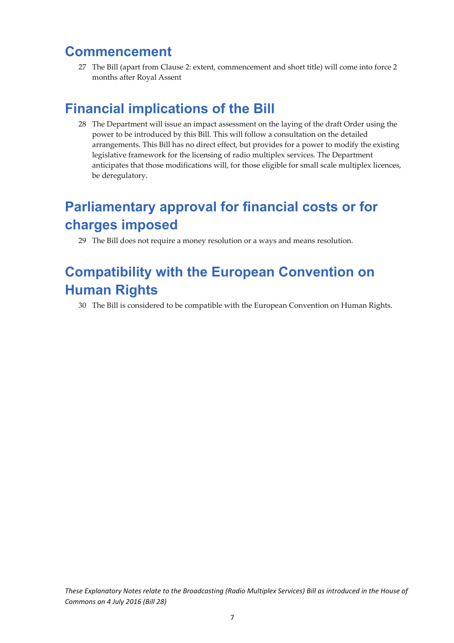# **Commencement**

27 The Bill (apart from Clause 2: extent, commencement and short title) will come into force 2 months after Royal Assent

# **Financial implications of the Bill**

28 The Department will issue an impact assessment on the laying of the draft Order using the power to be introduced by this Bill. This will follow a consultation on the detailed arrangements. This Bill has no direct effect, but provides for a power to modify the existing legislative framework for the licensing of radio multiplex services. The Department anticipates that those modifications will, for those eligible for small scale multiplex licences, be deregulatory.

# **Parliamentary approval for financial costs or for charges imposed**

29 The Bill does not require a money resolution or a ways and means resolution.

# **Compatibility with the European Convention on Human Rights**

30 The Bill is considered to be compatible with the European Convention on Human Rights.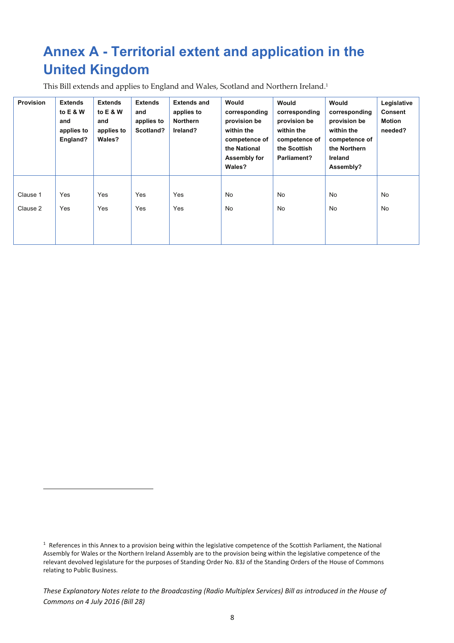# **Annex A - Territorial extent and application in the United Kingdom**

This Bill extends and applies to England and Wales, Scotland and Northern Ireland.1

| <b>Provision</b> | <b>Extends</b><br>to E & W<br>and<br>applies to<br>England? | <b>Extends</b><br>to E & W<br>and<br>applies to<br>Wales? | <b>Extends</b><br>and<br>applies to<br>Scotland? | <b>Extends and</b><br>applies to<br><b>Northern</b><br>Ireland? | Would<br>corresponding<br>provision be<br>within the<br>competence of<br>the National<br>Assembly for<br>Wales? | Would<br>corresponding<br>provision be<br>within the<br>competence of<br>the Scottish<br>Parliament? | Would<br>corresponding<br>provision be<br>within the<br>competence of<br>the Northern<br>Ireland<br>Assembly? | Legislative<br><b>Consent</b><br>Motion<br>needed? |
|------------------|-------------------------------------------------------------|-----------------------------------------------------------|--------------------------------------------------|-----------------------------------------------------------------|-----------------------------------------------------------------------------------------------------------------|------------------------------------------------------------------------------------------------------|---------------------------------------------------------------------------------------------------------------|----------------------------------------------------|
| Clause 1         | Yes                                                         | Yes                                                       | Yes                                              | Yes                                                             | No                                                                                                              | No                                                                                                   | No                                                                                                            | No                                                 |
| Clause 2         | Yes                                                         | Yes                                                       | Yes                                              | Yes                                                             | No                                                                                                              | No                                                                                                   | No                                                                                                            | No                                                 |

 $1$  References in this Annex to a provision being within the legislative competence of the Scottish Parliament, the National Assembly for Wales or the Northern Ireland Assembly are to the provision being within the legislative competence of the relevant devolved legislature for the purposes of Standing Order No. 83J of the Standing Orders of the House of Commons relating to Public Business.

These Explanatory Notes relate to the Broadcasting (Radio Multiplex Services) Bill as introduced in the House of *Commons on 4 July 2016 (Bill 28)*